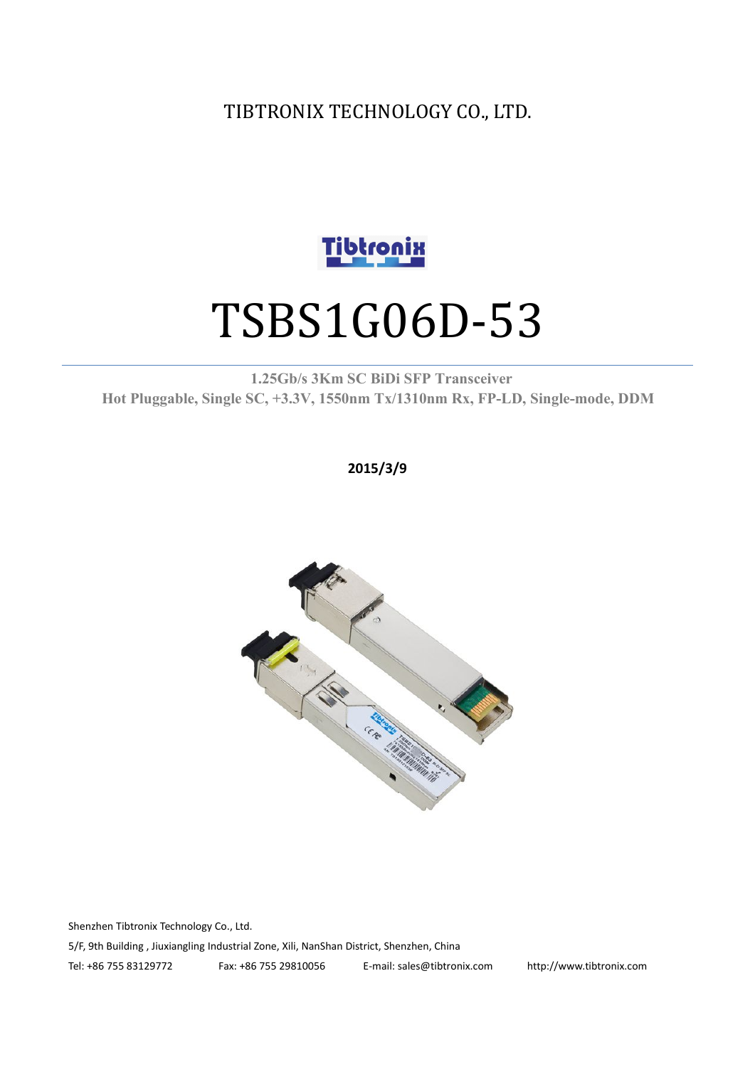TIBTRONIX TECHNOLOGY CO., LTD.



# TSBS1G06D-53

**1.25Gb/s 3Km SC BiDi SFP Transceiver Hot Pluggable, Single SC, +3.3V, 1550nm Tx/1310nm Rx, FP-LD, Single-mode, DDM**

**2015/3/9**



Shenzhen Tibtronix Technology Co., Ltd. 5/F, 9th Building , Jiuxiangling Industrial Zone, Xili, NanShan District, Shenzhen, China Tel: +86 755 83129772 Fax: +86 755 29810056 E-mail: sales@tibtronix.com http://www.tibtronix.com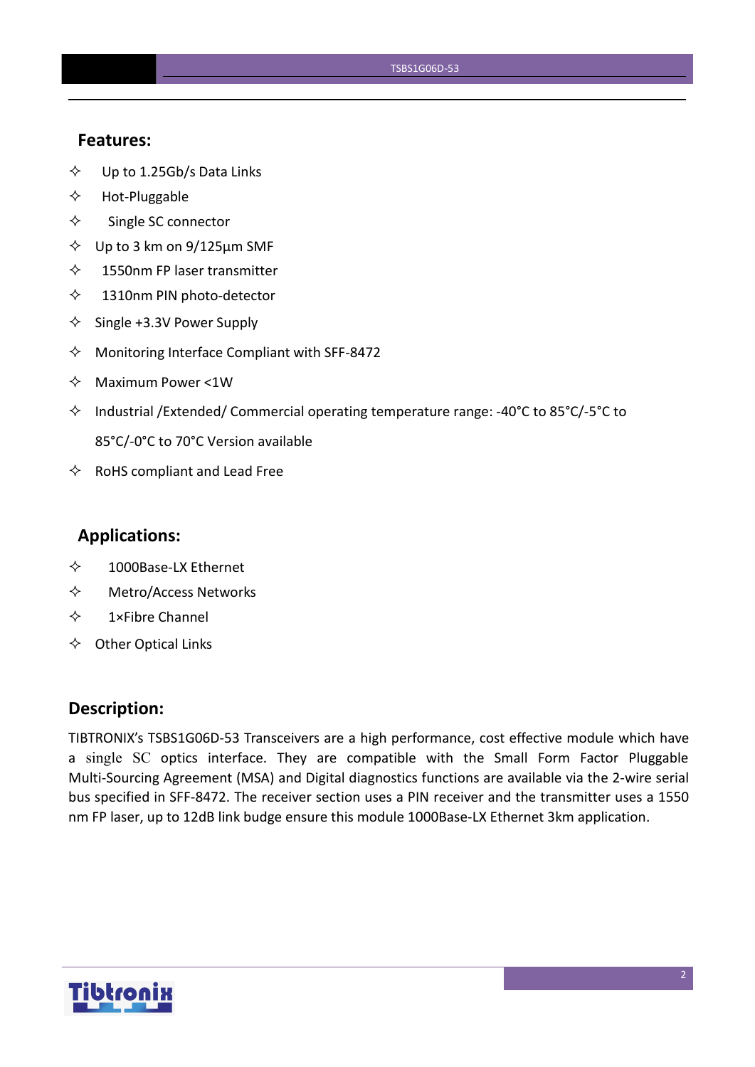#### **Features:**

- $\diamond$  Up to 1.25Gb/s Data Links
- $\Leftrightarrow$  Hot-Pluggable
- $\Leftrightarrow$  Single SC connector
- $\diamond$  Up to 3 km on 9/125 $\mu$ m SMF
- $\diamond$  1550nm FP laser transmitter
- 1310nm PIN photo-detector
- $\diamond$  Single +3.3V Power Supply
- $\Diamond$  Monitoring Interface Compliant with SFF-8472
- $\Leftrightarrow$  Maximum Power <1W
- $\Diamond$  Industrial /Extended/ Commercial operating temperature range: -40°C to 85°C/-5°C to 85°C/-0°C to 70°C Version available
- $\Leftrightarrow$  RoHS compliant and Lead Free

#### **Applications:**

- 1000Base-LX Ethernet
- Metro/Access Networks
- $\diamond$  1×Fibre Channel
- $\Leftrightarrow$  Other Optical Links

#### **Description:**

TIBTRONIX's TSBS1G06D-53 Transceivers are a high performance, cost effective module which have a single SC optics interface. They are compatible with the Small Form Factor Pluggable Multi-Sourcing Agreement (MSA) and Digital diagnostics functions are available via the 2-wire serial bus specified in SFF-8472. The receiver section uses a PIN receiver and the transmitter uses a 1550 nm FP laser, up to 12dB link budge ensure this module 1000Base-LX Ethernet 3km application.

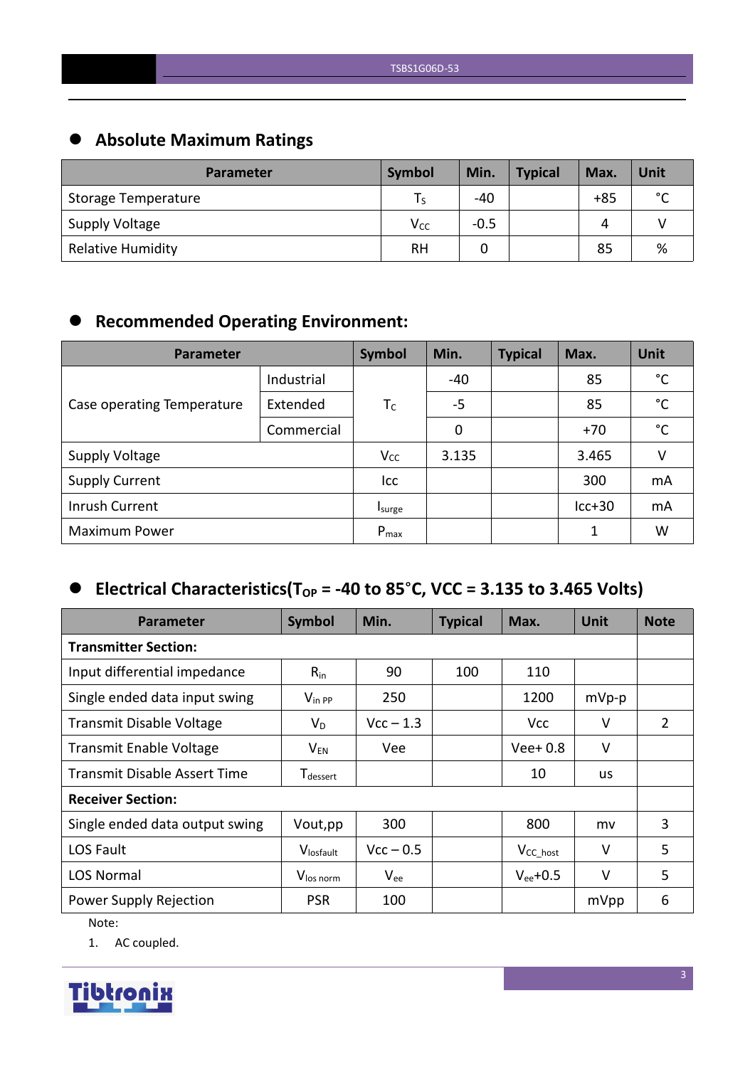# **Absolute Maximum Ratings**

| <b>Parameter</b>         | Symbol   | Min.   | <b>Typical</b> | Max.  | Unit        |
|--------------------------|----------|--------|----------------|-------|-------------|
| Storage Temperature      | l S      | -40    |                | $+85$ | $\sim$<br>◡ |
| Supply Voltage           | $V_{CC}$ | $-0.5$ |                | 4     |             |
| <b>Relative Humidity</b> | RH       |        |                | 85    | %           |

# **Recommended Operating Environment:**

| Parameter                  | Symbol     | Min.      | <b>Typical</b> | Max.  | Unit     |              |
|----------------------------|------------|-----------|----------------|-------|----------|--------------|
|                            | Industrial |           | -40            |       | 85       | °C           |
| Case operating Temperature | Extended   | $T_C$     | $-5$           |       | 85       | $^{\circ}$ C |
|                            | Commercial |           | 0              |       | $+70$    | $^{\circ}$ C |
| <b>Supply Voltage</b>      | $V_{CC}$   | 3.135     |                | 3.465 | v        |              |
| <b>Supply Current</b>      |            | Icc       |                |       | 300      | mA           |
| Inrush Current             |            | Isurge    |                |       | $lcc+30$ | mA           |
| <b>Maximum Power</b>       |            | $P_{max}$ |                |       | 1        | W            |

# $\bullet$  Electrical Characteristics(T<sub>OP</sub> = -40 to 85°C, VCC = 3.135 to 3.465 Volts)

| <b>Parameter</b>                    | Symbol                      | Min.        | <b>Typical</b> | Max.           | <b>Unit</b> | <b>Note</b>    |
|-------------------------------------|-----------------------------|-------------|----------------|----------------|-------------|----------------|
| <b>Transmitter Section:</b>         |                             |             |                |                |             |                |
| Input differential impedance        | $R_{in}$                    | 90          | 100            | 110            |             |                |
| Single ended data input swing       | $V_{\text{in PP}}$          | 250         |                | 1200           | $mVp-p$     |                |
| <b>Transmit Disable Voltage</b>     | $V_D$                       | $Vcc - 1.3$ |                | <b>Vcc</b>     | V           | $\overline{2}$ |
| <b>Transmit Enable Voltage</b>      | $\mathsf{V}_{\mathsf{EN}}$  | Vee         |                | $Vee+0.8$      | $\vee$      |                |
| <b>Transmit Disable Assert Time</b> | <b>T</b> <sub>dessert</sub> |             |                | 10             | <b>us</b>   |                |
| <b>Receiver Section:</b>            |                             |             |                |                |             |                |
| Single ended data output swing      | Vout, pp                    | 300         |                | 800            | mv          | 3              |
| LOS Fault                           | Vlosfault                   | $Vcc - 0.5$ |                | $V_{CC\_host}$ | $\vee$      | 5              |
| <b>LOS Normal</b>                   | V <sub>los norm</sub>       | $V_{ee}$    |                | $V_{ee}$ +0.5  | $\vee$      | 5              |
| Power Supply Rejection              | <b>PSR</b>                  | 100         |                |                | mVpp        | 6              |

Note:

1. AC coupled.

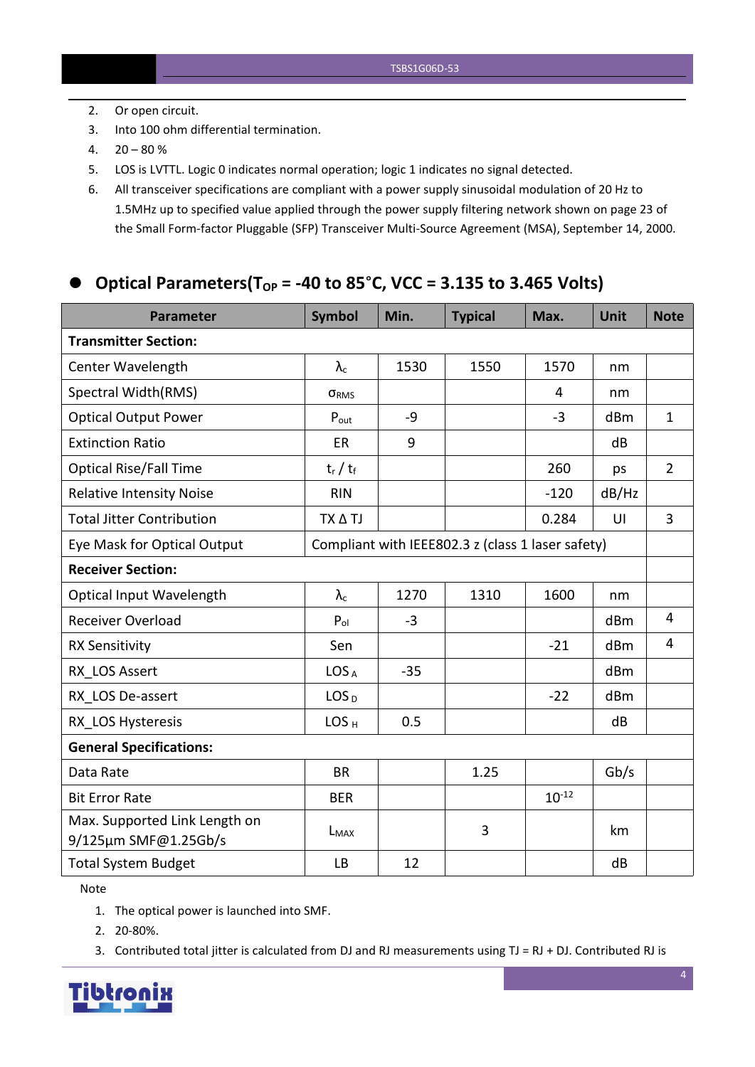- 2. Or open circuit.
- 3. Into 100 ohm differential termination.
- $4. \quad 20 80 \%$
- 5. LOS is LVTTL. Logic 0 indicates normal operation; logic 1 indicates no signal detected.
- 6. All transceiver specifications are compliant with a power supply sinusoidalmodulation of 20 Hz to 1.5MHz up to specified value applied through the powersupply filtering network shown on page 23 of the Small Form-factor Pluggable (SFP) Transceiver Multi-Source Agreement (MSA), September 14, 2000.

#### **Optical Parameters(TOP = -40 to 85**°**C, VCC = 3.135 to 3.465 Volts)**

| <b>Parameter</b>                                                                 | <b>Symbol</b>     | Min.  | <b>Typical</b> | Max.       | <b>Unit</b> | <b>Note</b>    |
|----------------------------------------------------------------------------------|-------------------|-------|----------------|------------|-------------|----------------|
| <b>Transmitter Section:</b>                                                      |                   |       |                |            |             |                |
| Center Wavelength                                                                | $\lambda_{\rm c}$ | 1530  | 1550           | 1570       | nm          |                |
| Spectral Width(RMS)                                                              | ORMS              |       |                | 4          | nm          |                |
| <b>Optical Output Power</b>                                                      | $P_{\text{out}}$  | $-9$  |                | $-3$       | dBm         | $\mathbf{1}$   |
| <b>Extinction Ratio</b>                                                          | ER                | 9     |                |            | dB          |                |
| <b>Optical Rise/Fall Time</b>                                                    | $t_r / t_f$       |       |                | 260        | ps          | $\overline{2}$ |
| <b>Relative Intensity Noise</b>                                                  | <b>RIN</b>        |       |                | $-120$     | dB/Hz       |                |
| <b>Total Jitter Contribution</b>                                                 | TX A TJ           |       |                | 0.284      | UI          | $\overline{3}$ |
| Compliant with IEEE802.3 z (class 1 laser safety)<br>Eye Mask for Optical Output |                   |       |                |            |             |                |
| <b>Receiver Section:</b>                                                         |                   |       |                |            |             |                |
| <b>Optical Input Wavelength</b>                                                  | $\lambda_c$       | 1270  | 1310           | 1600       | nm          |                |
| Receiver Overload                                                                | $P_{ol}$          | $-3$  |                |            | dBm         | 4              |
| <b>RX Sensitivity</b>                                                            | Sen               |       |                | $-21$      | dBm         | 4              |
| RX LOS Assert                                                                    | LOS <sub>A</sub>  | $-35$ |                |            | dBm         |                |
| RX LOS De-assert                                                                 | LOS <sub>D</sub>  |       |                | $-22$      | dBm         |                |
| RX LOS Hysteresis                                                                | LOS <sub>H</sub>  | 0.5   |                |            | dB          |                |
| <b>General Specifications:</b>                                                   |                   |       |                |            |             |                |
| Data Rate                                                                        | <b>BR</b>         |       | 1.25           |            | Gb/s        |                |
| <b>Bit Error Rate</b>                                                            | <b>BER</b>        |       |                | $10^{-12}$ |             |                |
| Max. Supported Link Length on<br>9/125µm SMF@1.25Gb/s                            | $L_{MAX}$         |       | 3              |            | km          |                |
| <b>Total System Budget</b>                                                       | <b>LB</b>         | 12    |                |            | dB          |                |

Note

- 1. The optical power is launched into SMF.
- 2. 20-80%.
- 3. Contributed total jitter is calculated from DJ and RJ measurements using  $TJ = RJ + DJ$ . Contributed RJ is

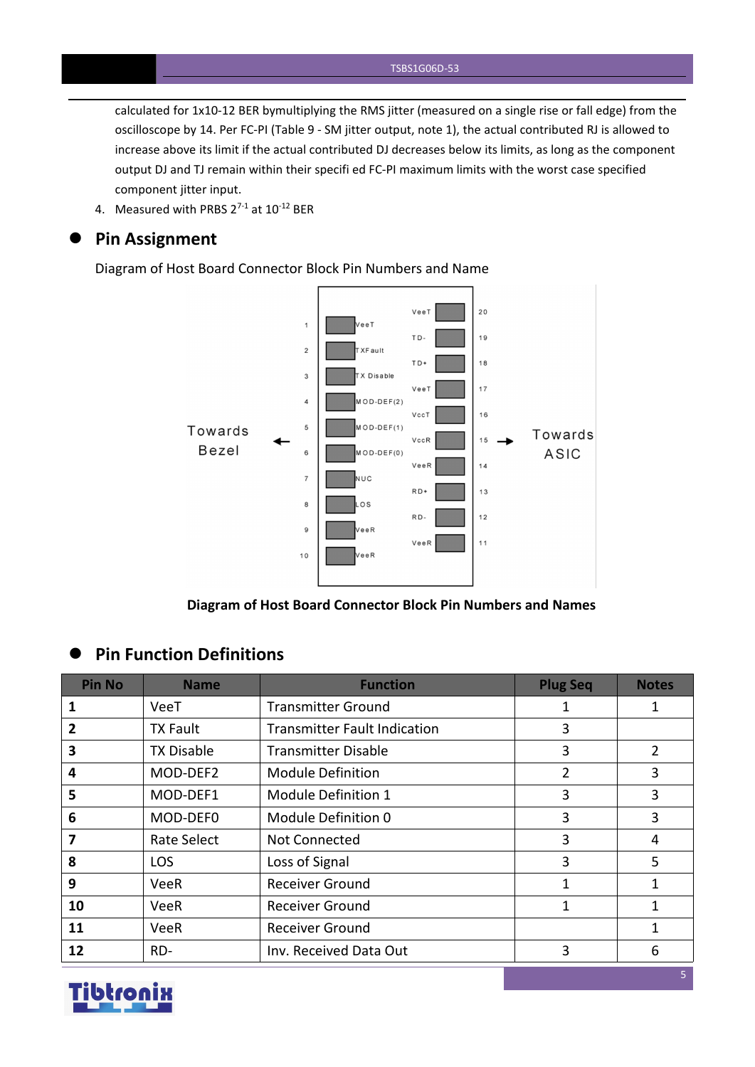calculated for 1x10-12 BER bymultiplying the RMS jitter (measured on a single rise or fall edge) from the oscilloscope by 14. Per FC-PI (Table 9 - SM jitter output, note 1), the actual contributed RJ is allowed to increase above its limit if the actual contributed DJ decreases below its limits, as long as the component output DJ and TJ remain within their specifi ed FC-PI maximum limits with the worst case specified component jitter input.

4. Measured with PRBS  $2^{7-1}$  at  $10^{-12}$  BER

#### **Pin Assignment**

Diagram of Host Board Connector Block Pin Numbers and Name



**Diagram of Host Board Connector Block Pin Numbers and Names**

#### **Pin Function Definitions**

| <b>Pin No</b>  | <b>Name</b>        | <b>Function</b>                     | <b>Plug Seq</b> | <b>Notes</b>   |
|----------------|--------------------|-------------------------------------|-----------------|----------------|
| 1              | VeeT               | <b>Transmitter Ground</b>           |                 | 1              |
| $\overline{2}$ | <b>TX Fault</b>    | <b>Transmitter Fault Indication</b> | 3               |                |
| 3              | <b>TX Disable</b>  | <b>Transmitter Disable</b>          | 3               | $\overline{2}$ |
| 4              | MOD-DEF2           | <b>Module Definition</b>            | $\overline{2}$  | 3              |
| 5              | MOD-DEF1           | Module Definition 1                 | 3               | 3              |
| 6              | MOD-DEF0           | Module Definition 0                 | 3               | 3              |
| 7              | <b>Rate Select</b> | Not Connected                       | 3               | 4              |
| 8              | <b>LOS</b>         | Loss of Signal                      | 3               | 5              |
| 9              | <b>VeeR</b>        | <b>Receiver Ground</b>              |                 | 1              |
| 10             | <b>VeeR</b>        | <b>Receiver Ground</b>              |                 |                |
| 11             | <b>VeeR</b>        | <b>Receiver Ground</b>              |                 |                |
| 12             | RD-                | Inv. Received Data Out              | 3               | 6              |

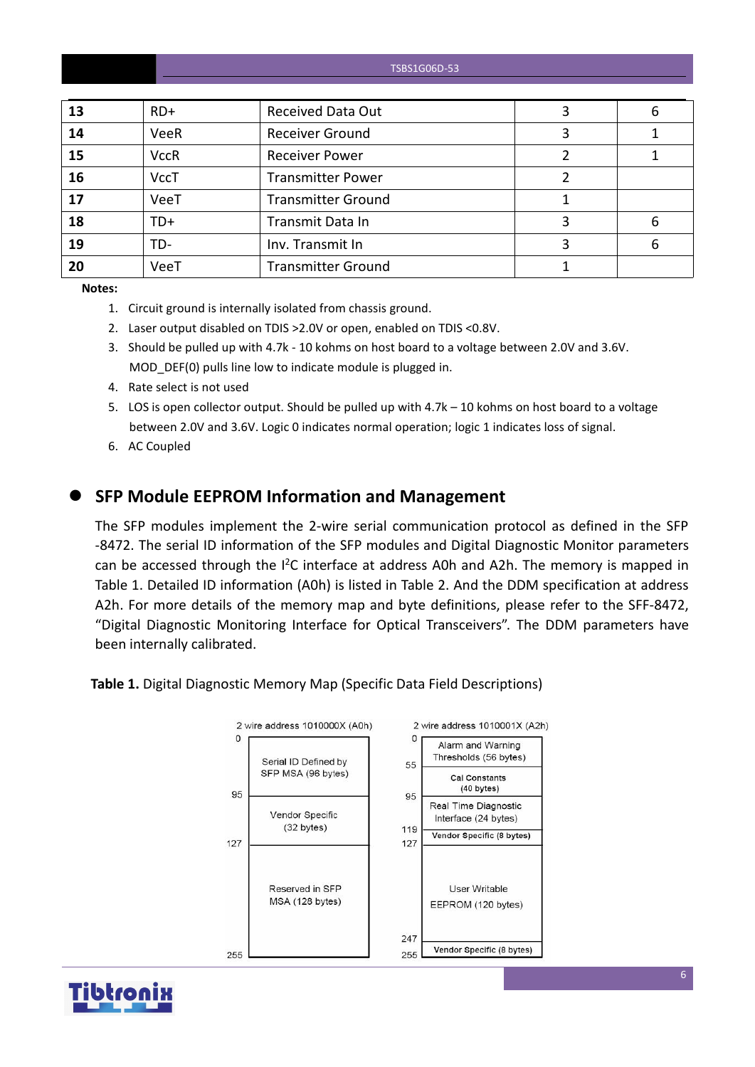| TSBS1G06D-53 |  |
|--------------|--|
|--------------|--|

| 13 | $RD+$       | <b>Received Data Out</b>  | 6 |
|----|-------------|---------------------------|---|
| 14 | <b>VeeR</b> | <b>Receiver Ground</b>    |   |
| 15 | <b>VccR</b> | <b>Receiver Power</b>     |   |
| 16 | <b>VccT</b> | <b>Transmitter Power</b>  |   |
| 17 | VeeT        | <b>Transmitter Ground</b> |   |
| 18 | $TD+$       | Transmit Data In          | 6 |
| 19 | TD-         | Inv. Transmit In          | 6 |
| 20 | VeeT        | <b>Transmitter Ground</b> |   |

**Notes:**

- 1. Circuit ground is internally isolated from chassis ground.
- 2. Laser output disabled on TDIS >2.0V or open, enabled on TDIS <0.8V.
- 3. Should be pulled up with 4.7k 10 kohms on host board to a voltage between 2.0V and 3.6V. MOD DEF(0) pulls line low to indicate module is plugged in.
- 4. Rate select is not used
- 5. LOS is open collector output. Should be pulled up with 4.7k 10 kohms on host board to a voltage between 2.0V and 3.6V. Logic 0 indicates normal operation; logic 1 indicates loss of signal.
- 6. AC Coupled

#### **SFP Module EEPROM Information and Management**

The SFP modules implement the 2-wire serial communication protocol as defined in the SFP -8472. The serial ID information of the SFP modules and Digital Diagnostic Monitor parameters can be accessed through the  $I^2C$  interface at address A0h and A2h. The memory is mapped in Table 1. Detailed ID information (A0h) is listed in Table 2. And the DDM specification at address A2h. For more details of the memory map and byte definitions, please refer to the SFF-8472, "Digital Diagnostic Monitoring Interface for Optical Transceivers". The DDM parameters have been internally calibrated.

**Table 1.** Digital Diagnostic Memory Map (Specific Data Field Descriptions)



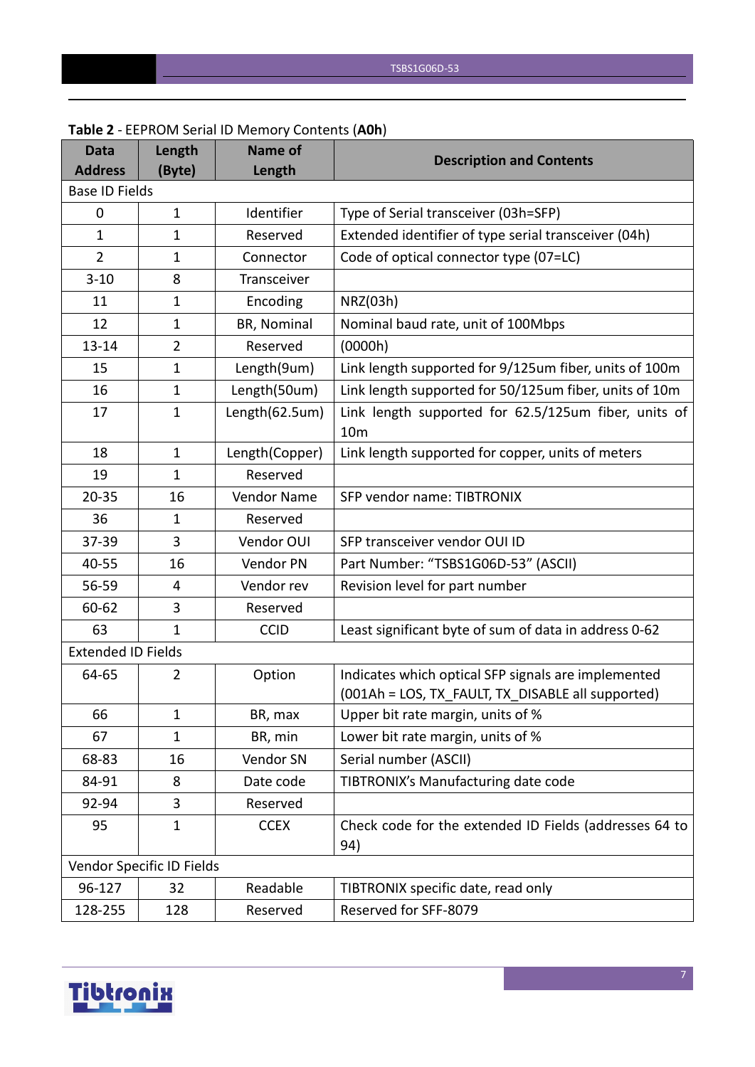| <b>Data</b><br><b>Address</b> | Length<br>(Byte)          | <b>Name of</b><br>Length | <b>Description and Contents</b>                                         |
|-------------------------------|---------------------------|--------------------------|-------------------------------------------------------------------------|
| <b>Base ID Fields</b>         |                           |                          |                                                                         |
| 0                             | $\mathbf{1}$              | Identifier               | Type of Serial transceiver (03h=SFP)                                    |
| $\mathbf{1}$                  | $\mathbf{1}$              | Reserved                 | Extended identifier of type serial transceiver (04h)                    |
| $\overline{2}$                | $\mathbf{1}$              | Connector                | Code of optical connector type (07=LC)                                  |
| $3 - 10$                      | 8                         | Transceiver              |                                                                         |
| 11                            | $\mathbf{1}$              | Encoding                 | NRZ(03h)                                                                |
| 12                            | $\mathbf{1}$              | BR, Nominal              | Nominal baud rate, unit of 100Mbps                                      |
| $13 - 14$                     | $\overline{2}$            | Reserved                 | (0000h)                                                                 |
| 15                            | 1                         | Length(9um)              | Link length supported for 9/125um fiber, units of 100m                  |
| 16                            | $\mathbf{1}$              | Length(50um)             | Link length supported for 50/125um fiber, units of 10m                  |
| 17                            | $\mathbf{1}$              | Length(62.5um)           | Link length supported for 62.5/125um fiber, units of<br>10 <sub>m</sub> |
| 18                            | $\mathbf{1}$              | Length(Copper)           | Link length supported for copper, units of meters                       |
| 19                            | $\mathbf{1}$              | Reserved                 |                                                                         |
| $20 - 35$                     | 16                        | Vendor Name              | SFP vendor name: TIBTRONIX                                              |
| 36                            | 1                         | Reserved                 |                                                                         |
| 37-39                         | 3                         | Vendor OUI               | SFP transceiver vendor OUI ID                                           |
| 40-55                         | 16                        | Vendor PN                | Part Number: "TSBS1G06D-53" (ASCII)                                     |
| 56-59                         | 4                         | Vendor rev               | Revision level for part number                                          |
| 60-62                         | 3                         | Reserved                 |                                                                         |
| 63                            | $\mathbf{1}$              | <b>CCID</b>              | Least significant byte of sum of data in address 0-62                   |
| <b>Extended ID Fields</b>     |                           |                          |                                                                         |
| 64-65                         | $\overline{2}$            | Option                   | Indicates which optical SFP signals are implemented                     |
|                               |                           |                          | (001Ah = LOS, TX_FAULT, TX_DISABLE all supported)                       |
| 66                            | 1                         | BR, max                  | Upper bit rate margin, units of %                                       |
| 67                            | $\mathbf{1}$              | BR, min                  | Lower bit rate margin, units of %                                       |
| 68-83                         | 16                        | Vendor SN                | Serial number (ASCII)                                                   |
| 84-91                         | 8                         | Date code                | TIBTRONIX's Manufacturing date code                                     |
| 92-94                         | 3                         | Reserved                 |                                                                         |
| 95                            | $\mathbf{1}$              | <b>CCEX</b>              | Check code for the extended ID Fields (addresses 64 to<br>94)           |
|                               | Vendor Specific ID Fields |                          |                                                                         |
| 96-127                        | 32                        | Readable                 | TIBTRONIX specific date, read only                                      |
| 128-255                       | 128                       | Reserved                 | Reserved for SFF-8079                                                   |

#### **Table 2** - EEPROM Serial ID Memory Contents (**A0h**)

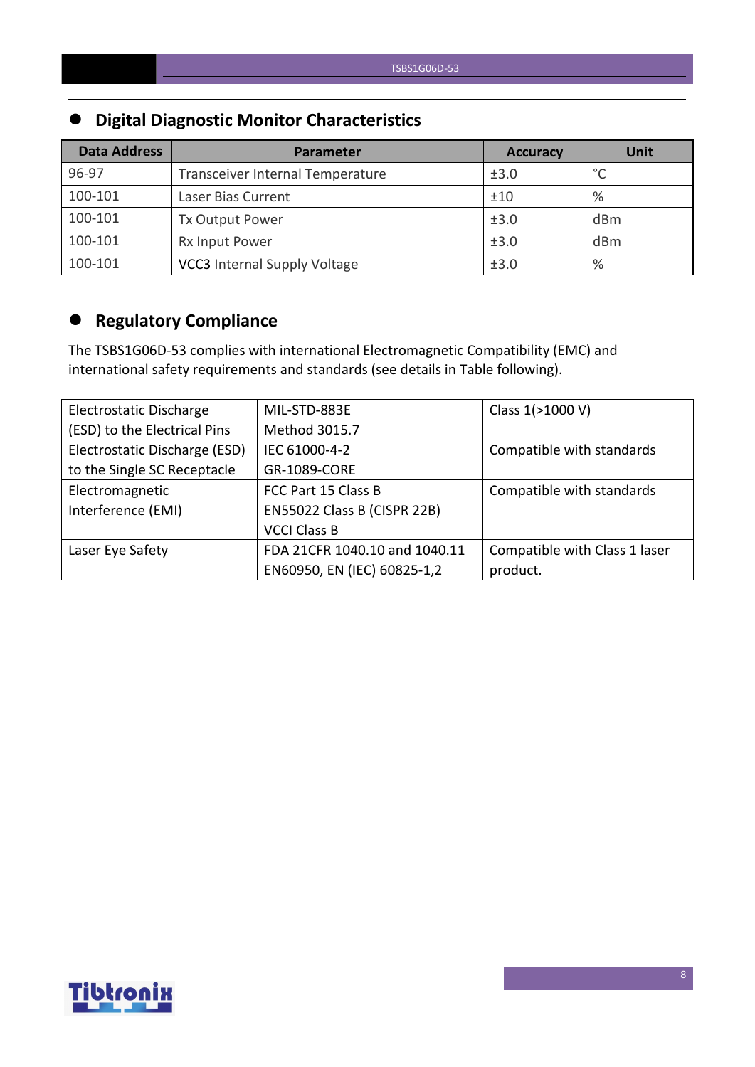# **Digital Diagnostic Monitor Characteristics**

| <b>Data Address</b> | <b>Parameter</b>                    | <b>Accuracy</b> | <b>Unit</b> |
|---------------------|-------------------------------------|-----------------|-------------|
| 96-97               | Transceiver Internal Temperature    | ±3.0            | $\circ$     |
| 100-101             | Laser Bias Current                  | ±10             | %           |
| 100-101             | Tx Output Power                     | ±3.0            | dBm         |
| 100-101             | Rx Input Power                      | ±3.0            | dBm         |
| 100-101             | <b>VCC3</b> Internal Supply Voltage | ±3.0            | %           |

# **Regulatory Compliance**

The TSBS1G06D-53 complies with international Electromagnetic Compatibility (EMC) and international safety requirements and standards (see details in Table following).

| Electrostatic Discharge       | MIL-STD-883E                  | Class 1(>1000 V)              |
|-------------------------------|-------------------------------|-------------------------------|
| (ESD) to the Electrical Pins  | Method 3015.7                 |                               |
| Electrostatic Discharge (ESD) | IEC 61000-4-2                 | Compatible with standards     |
| to the Single SC Receptacle   | GR-1089-CORE                  |                               |
| Electromagnetic               | FCC Part 15 Class B           | Compatible with standards     |
| Interference (EMI)            | EN55022 Class B (CISPR 22B)   |                               |
|                               | <b>VCCI Class B</b>           |                               |
| Laser Eye Safety              | FDA 21CFR 1040.10 and 1040.11 | Compatible with Class 1 laser |
|                               | EN60950, EN (IEC) 60825-1,2   | product.                      |

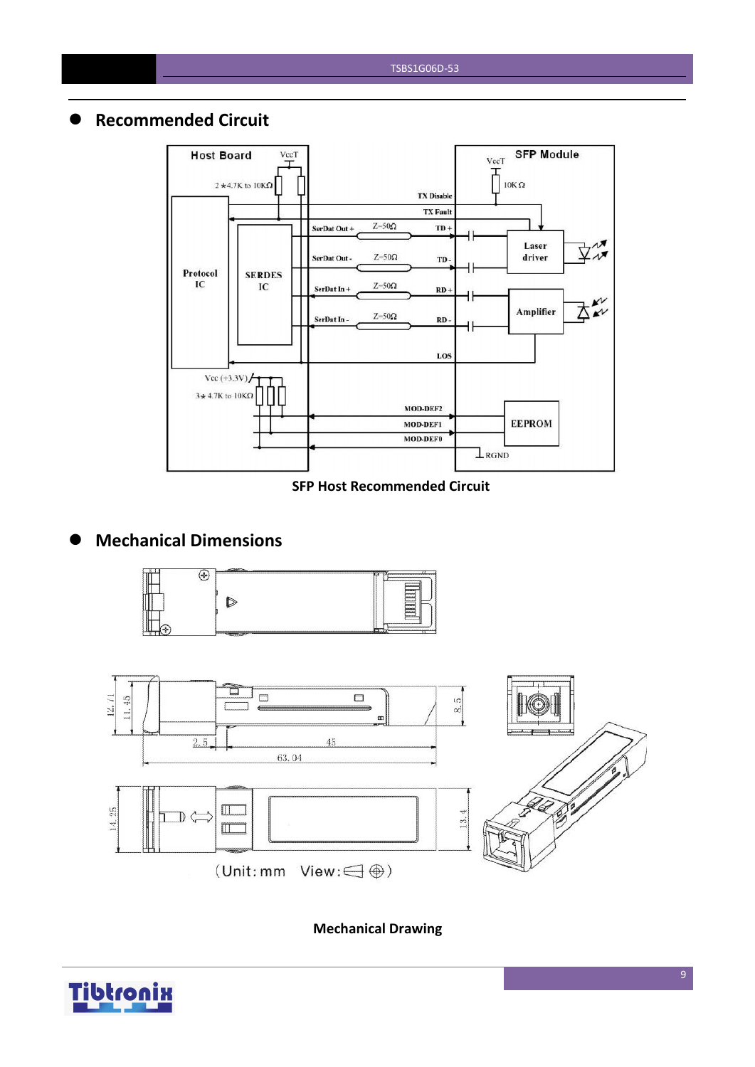#### **Recommended Circuit**



#### **SFP Host Recommended Circuit**

### **Mechanical Dimensions**





**Mechanical Drawing**